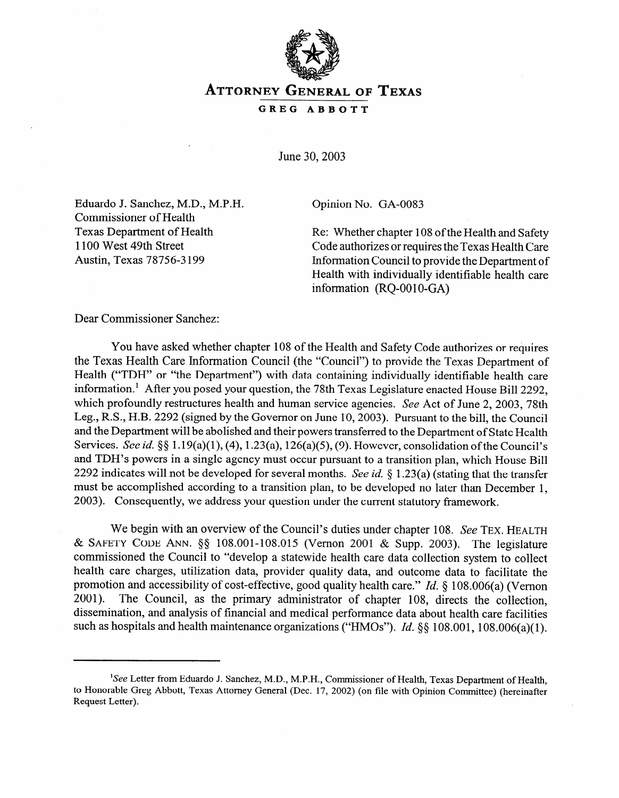

**ATTORNEY GENERAL OF TEXAS** 

**GREG ABBOTT** 

June 30,2003

Eduardo J. Sanchez, M.D., M.P.H. Commissioner of Health Texas Department of Health  $1100 \text{ Wcs} + 9 \text{H} \text{ S} \text{C}$  $A$ ustin, Texas 78756-3199

Opinion No. GA-0083

Re: Whether chapter 108 of the Health and Safety Code authorizes or requires the Texas Health Care Information Council to provide the Department of Health with individually identifiable health care information  $(RO-0010-GA)$ 

Dear Commissioner Sanchez:

You have asked whether chapter 108 of the Health and Safety Code authorizes or requires the Texas Health Care Information Council (the "Council") to provide the Texas Department of Health ("TDH" or "the Department") with data containing individually identifiable health care information.<sup>1</sup> After you posed your question, the 78th Texas Legislature enacted House Bill 2292. which profoundly restructures health and human service agencies. See Act of June 2, 2003, 78th Leg., R.S., H.B. 2292 (signed by the Governor on June 10, 2003). Pursuant to the bill, the Council and the Department will be abolished and their powers transferred to the Department of State Health Services. See id. §§ 1.19(a)(1), (4), 1.23(a), 126(a)(5), (9). However, consolidation of the Council's and TDH's powers in a single agency must occur pursuant to a transition plan, which House Bill 2292 indicates will not be developed for several months. See id.  $\frac{1}{2}$  1.23(a) (stating that the transfer must be accomplished according to a transition plan, to be developed no later than December 1, 2003). Consequently, we address your question under the current statutory framework. 2003). Consequently, we address your question under the current statutory framework.

We begin with an overview of the Council's duties under chapter 108. See TEX. HEALTH & SAFETY CODE ANN. §§ 108.001-108.015 (Vernon 2001 & Supp. 2003). The legislature commissioned the Council to "develop a statewide health care data collection system to collect health care charges, utilization data, provider quality data, and outcome data to facilitate the promotion and accessibility of cost-effective, good quality health care." Id. § 108.006(a) (Vernon 2001). The Council, as the primary administrator of chapter 108, directs the collection. dissemination, and analysis of financial and medical performance data about health care facilities such as hospitals and health maintenance organizations ("HMOs"). *Id.* §§ 108.001, 108.006(a)(1).

<sup>&</sup>lt;sup>1</sup>See Letter from Eduardo J. Sanchez, M.D., M.P.H., Commissioner of Health, Texas Department of Health, to Honorable Greg Abbott, Texas Attorney General (Dec. 17, 2002) (on file with Opinion Committee) (hereinafter<br>Request Letter). to Honorable Greg Abbott, Texas Attorney General (Dec. 17, 2002) (on file with Opinion Committee) (hereinafter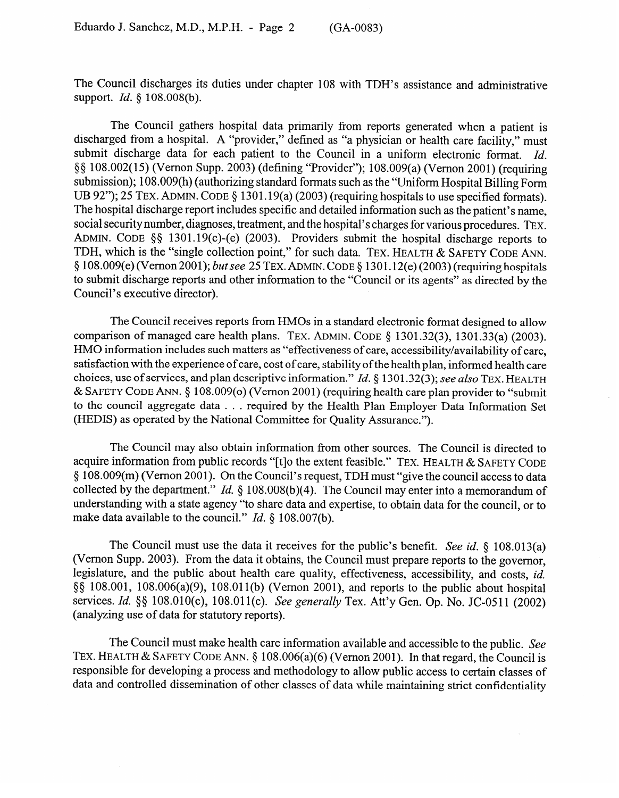The Council discharges its duties under chapter 108 with TDH's assistance and administrative support. *Id. 5* 108.008(b).

The Council gathers hospital data primarily from reports generated when a patient is discharged from a hospital. A "provider," defined as "a physician or health care facility." must submit discharge data for each patient to the Council in a uniform electronic format. *Id.*  §§ 108.002(15) (Vernon Supp. 2003) (defining "Provider"); 108.009(a) (Vernon 2001) (requiring submission); 108.009(h) (authorizing standard formats such as the "Uniform Hospital Billing Form UB 92"); 25 TEX. ADMIN. CODE § 1301.19(a) (2003) (requiring hospitals to use specified formats). The hospital discharge report includes specific and detailed information such as the patient's name, social security number, diagnoses, treatment, and the hospital's charges for various procedures. **TEX. ADMIN. CODE** \$5 1301.19(c)-(e) (2003). Providers submit the hospital discharge reports to TDH, which is the "single collection point," for such data. TEX. HEALTH & SAFETY CODE ANN. 8 108.009(e) (V emon 2001); *butsee 25* **TEX. ADMIN. CODE** 4 1301.12(e) (2003) (requiring hospitals to submit discharge reports and other information to the "Council or its agents" as directed by the Council's executive director).

The Council receives reports from HMOs in a standard electronic format designed to allow comparison of managed care health plans. TEX. ADMIN. CODE § 1301.32(3), 1301.33(a) (2003). HMO information includes such matters as "effectiveness of care, accessibility/availability of care. satisfaction with the experience of care, cost of care, stability of the health plan, informed health care choices, use of services, and plan descriptive information." Id.  $\S$  1301.32(3); see also TEX. HEALTH & SAFETY CODE ANN. § 108.009(o) (Vernon 2001) (requiring health care plan provider to "submit to the council aggregate data . . . required by the Health Plan Employer Data Information Set  $t_{\text{HFDIC}}$  as operated by the Mational Committee for Ouglity Assurance.")  $(\mathcal{F}^{\text{max}})$  as  $(\mathcal{F}^{\text{max}})$  as operators as  $(\mathcal{F}^{\text{max}})$ .

The Council may also obtain information from other sources. The Council is directed to acquire information from public records "[t]o the extent feasible." TEX. HEALTH & SAFETY CODE  $\delta$  108.009(m) (Vernon 2001). On the Council's request, TDH must "give the council access to data collected by the department." *Id.* § 108.008(b)(4). The Council may enter into a memorandum of understanding with a state agency "to share data and expertise, to obtain data for the council, or to make data available to the council." Id.  $\S$  108.007(b). make data available to the council." *Id. 8* 108.007(b).

The Council must use the data it receives for the public's benefit. See id.  $\&$  108.013(a) (Vernon Supp. 2003). From the data it obtains, the Council must prepare reports to the governor, legislature, and the public about health care quality, effectiveness, accessibility, and costs, id. §§ 108.001, 108.006(a)(9), 108.011(b) (Vernon 2001), and reports to the public about hospital services. Id. §§ 108.010(c), 108.011(c). *See generally* Tex. Att'y Gen. Op. No. JC-0511 (2002) (analyzing use of data for statutory reports).

The Council must make health care information available and accessible to the public. See TEX. HEALTH & SAFETY CODE ANN. § 108.006(a)(6) (Vernon 2001). In that regard, the Council is responsible for developing a process and methodology to allow public access to certain classes of data and controlled dissemination of other classes of data while maintaining strict confidentiality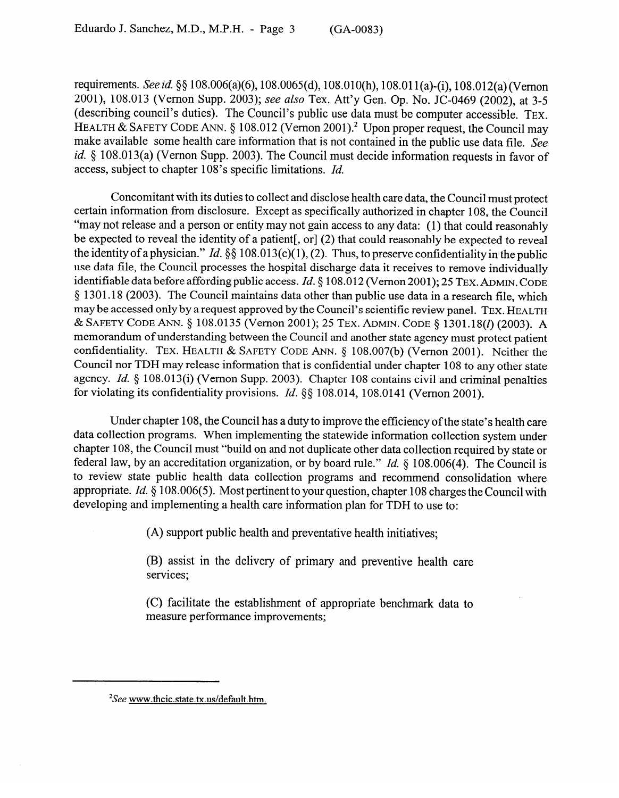requirements. *Seeid.* \$5 108.006(a)(6), 108.0065(d), 108.010(h), 108.01 l(a)-(i), 108.012(a)(Vemon 2001), 108.013 (Vernon Supp. 2003); see *also* Tex. Att'y Gen. Op. No. JC-0469 (2002), at 3-5 (describing council's duties). The Council's public use data must be computer accessible. **TEX.**  HEALTH & SAFETY CODE ANN. § 108.012 (Vernon 2001).<sup>2</sup> Upon proper request, the Council may make available some health care information that is not contained in the public use data file. See *id.* 6 108.013(a) (Vernon Supp. 2003). The Council must decide information requests in favor of access, subject to chapter 108's specific limitations. *Id.* 

Concomitant with its duties to collect and disclose health care data, the Council must protect certain information from disclosure. Except as specifically authorized in chapter 108, the Council "may not release and a person or entity may not gain access to any data: (1) that could reasonably be expected to reveal the identity of a patient[, or] (2) that could reasonably be expected to reveal<br>the identity of a physician." Id. §§ 108.013(c)(1), (2). Thus, to preserve confidentiality in the public use data file, the Council processes the hospital discharge data it receives to remove individually identifiable data before affording public access. Id. § 108.012 (Vernon 2001); 25 TEX. ADMIN. CODE § 1301.18 (2003). The Council maintains data other than public use data in a research file, which may be accessed only by a request approved by the Council's scientific review panel. TEX. HEALTH & SAFETY CODE ANN. § 108.0135 (Vernon 2001); 25 TEX. ADMIN. CODE § 1301.18(*I*) (2003). A memorandum of understanding between the Council and another state agency must protect patient confidentiality. TEX. HEALTH & SAFETY CODE ANN. § 108.007(b) (Vernon 2001). Neither the Council nor TDH may release information that is confidential under chapter 108 to any other state agency. Id. § 108.013(i) (Vernon Supp. 2003). Chapter 108 contains civil and criminal penalties agency. *Id.* 3 100.010(i) (Vernon Supp. 2003). Chapter 108 contains civil and criminal penalties for violating its confidentiality provisions. *Id.* §§ 108.014, 108.0141 (Vernon 2001).

Under chapter 108, the Council has a duty to improve the efficiency of the state's health care<br>data collection programs. When implementing the statewide information collection system under chapter 108, the Council must "build on and not duplicate other data collection required by state or federal law, by an accreditation organization, or by board rule." *Id.* § 108.006(4). The Council is to review state public health data collection programs and recommend consolidation where appropriate. *Id.* § 108.006(5). Most pertinent to your question, chapter 108 charges the Council with developing and implementing a health care information plan for TDH to use to: developing a health care information plan for  $\mathbf{I}$ 

> (A) support public health and preventative health initiatives:  $\mathcal{A}$  support public health and preventative health initiative health initiatives;  $\mathcal{A}$

(B) assist in the delivery of primary and preventive health care

(C) facilitate the establishment of appropriate benchmark data to measure performance improvements;

<sup>&</sup>lt;sup>2</sup>See www.thcic.state.tx.us/default.htm.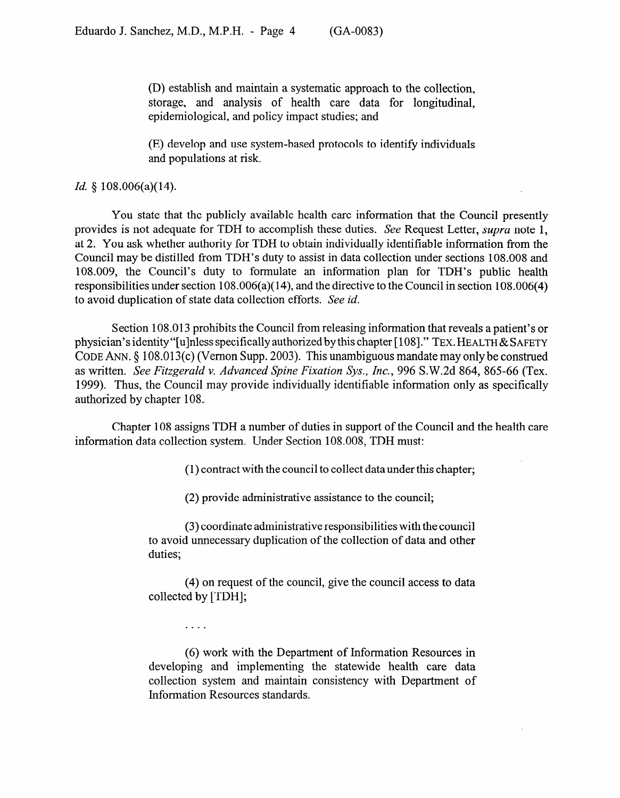(D) establish and maintain a systematic approach to the collection, storage, and analysis of health care data for longitudinal, epidemiological, and policy impact studies; and

(E) develop and use system-based protocols to identify individuals and populations at risk.

*Id.* § 108.006(a)(14).

You state that the publicly available health care information that the Council presently provides is not adequate for TDH to accomplish these duties. See Request Letter, *supra* note 1, at 2. You ask whether authority for TDH to obtain individually identifiable information from the Council may be distilled from TDH's duty to assist in data collection under sections 108.008 and 108.009, the Council's duty to formulate an information plan for TDH's public health responsibilities under section  $108.006(a)(14)$ , and the directive to the Council in section  $108.006(4)$ to avoid duplication of state data collection efforts. See *id.* 

Section 108.013 prohibits the Council from releasing information that reveals a patient's or physician's identity "[ulnless specifically authorized by this chapter **[** 1081." **TEX. HEALTH & SAFETY CODE ANN.** 8 108.013(c) (Vernon Supp. 2003). This unambiguous mandate may only be construed as written. *See Fitzgerald v. Advanced Spine Fixation* Sys., *Inc., 996* S.W.2d 864, 865-66 (Tex. 1999). Thus, the Council may provide individually identifiable information only as specifically authorized by chapter 108.

Chapter 108 assigns TDH a number of duties in support of the Council and the health care information data collection system. Under Section 108.008, TDH must:

(1) contract with the council to collect data under this chapter;

(2) provide administrative assistance to the council;

(3) coordinate administrative responsibilities with the council to avoid unnecessary duplication of the collection of data and other duties;

(4) on request of the council, give the council access to data collected by [TDH];

 $\cdots$ 

(6) work with the Department of Information Resources in developing and implementing the statewide health care data collection system and maintain consistency with Department of Information Resources standards.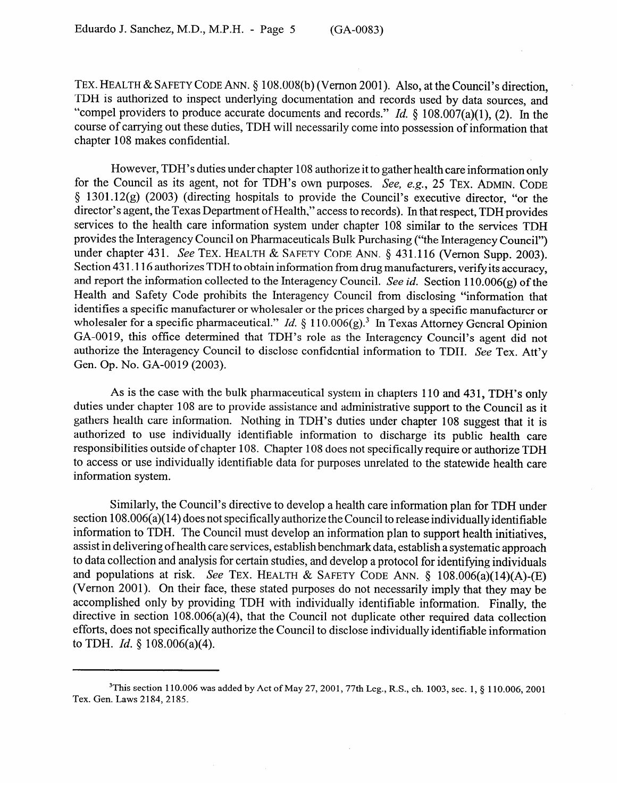TEX. HEALTH & SAFETY CODE ANN. § 108.008(b) (Vernon 2001). Also, at the Council's direction, TDH is authorized to inspect underlying documentation and records used by data sources, and "compel providers to produce accurate documents and records." *Id.* § 108.007(a)(1), (2). In the course of carrying out these duties, TDH will necessarily come into possession of information that chapter 108 makes confidential.

However, TDH's duties under chapter 108 authorize it to gather health care information only for the Council as its agent, not for TDH's own purposes. See, e.g., 25 **TEX. ADMIN. CODE**  5 1301.12(g) (2003) (directing hospitals to provide the Council's executive director, "or the director's agent, the Texas Department of Health," access to records). In that respect, TDH provides services to the health care information system under chapter 108 similar to the services TDH provides the Interagency Council on Pharmaceuticals Bulk Purchasing ("the Interagency Council") under chapter 431. See TEX. HEALTH & SAFETY CODE ANN. § 431.116 (Vernon Supp. 2003). Section 431.116 authorizes TDH to obtain information from drug manufacturers, verify its accuracy, and report the information collected to the Interagency Council. See id. Section 110.006(g) of the Health and Safety Code prohibits the Interagency Council from disclosing "information that identifies a specific manufacturer or wholesaler or the prices charged by a specific manufacturer or wholesaler for a specific pharmaceutical." *Id.*  $\oint$  110.006(g).<sup>3</sup> In Texas Attorney General Opinion GA-0019, this office determined that TDH's role as the Interagency Council's agent did not GA-0012, this office determined that TDH's role as the Interagency Council's agent did not authorize the Interagency Council to disclose confidential information to TDH. See Tex. Att  $y$ Gen. Op. No. GA-0019 (2003).

As is the case with the bulk pharmaceutical system in chapters 110 and 431, TDH's only duties under chapter 108 are to provide assistance and administrative support to the Council as it gathers health care information. Nothing in TDH's duties under chapter 108 suggest that it is authorized to use individually identifiable information to discharge its public health care responsibilities outside of chapter 108. Chapter 108 does not specifically require or authorize TDH to access or use individually identifiable data for purposes unrelated to the statewide health care information system. information system.

Similarly, the Council's directive to develop a health care information plan for TDH under section  $108.006(a)(14)$  does not specifically authorize the Council to release individually identifiable information to TDH. The Council must develop an information plan to support health initiatives. assist in delivering of health care services, establish benchmark data, establish a systematic approach to data collection and analysis for certain studies, and develop a protocol for identifying individuals and populations at risk. See TEX. HEALTH & SAFETY CODE ANN. § 108.006(a)(14)(A)-(E) (Vernon 2001). On their face, these stated purposes do not necessarily imply that they may be accomplished only by providing TDH with individually identifiable information. Finally, the directive in section  $108.006(a)(4)$ , that the Council not duplicate other required data collection. efforts, does not specifically authorize the Council to disclose individually identifiable information to TDH. *Id.*  $\S$  108.006(a)(4).

<sup>&</sup>lt;sup>3</sup>This section 110.006 was added by Act of May 27, 2001, 77th Leg., R.S., ch. 1003, sec. 1, § 110.006, 2001 Tex. Gen. Laws 2184, 2185.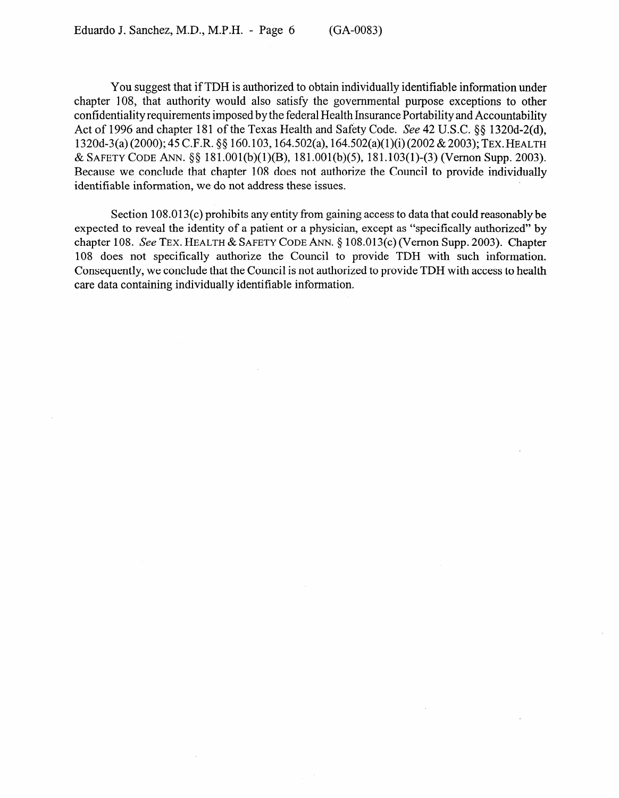You suggest that if TDH is authorized to obtain individually identifiable information under chapter 108, that authority would also satisfy the governmental purpose exceptions to other confidentiality requirements imposed by the federal Health Insurance Portability and Accountability Act of 1996 and chapter 181 of the Texas Health and Safety Code. See 42 U.S.C. 88 1320d-2(d). 1320d-3(a) (2000); 45 C.F.R. **\$5** 160.103,164.502(a), 164.502(a)(l)(i) (2002 **&** 2003); **TEX. HEALTH & SAFETY CODE** ANN. \$5 181.001(b)(l)(B), 181.001(b)(5), 181.103(l)-(3) (Vernon Supp. 2003). Because we conclude that chapter 108 does not authorize the Council to provide individually identifiable information, we do not address these issues.

Section 108.013(c) prohibits any entity from gaining access to data that could reasonably be expected to reveal the identity of a patient or a physician, except as "specifically authorized" by chapter 108. See **TEX. HEALTH & SAFETY CODE ANN.** 8 108.013(c) (Vernon Supp. 2003). Chapter 108 does not specifically authorize the Council to provide TDH with such information. Consequently, we conclude that the Council is not authorized to provide TDH with access to health care data containing individually identifiable information.